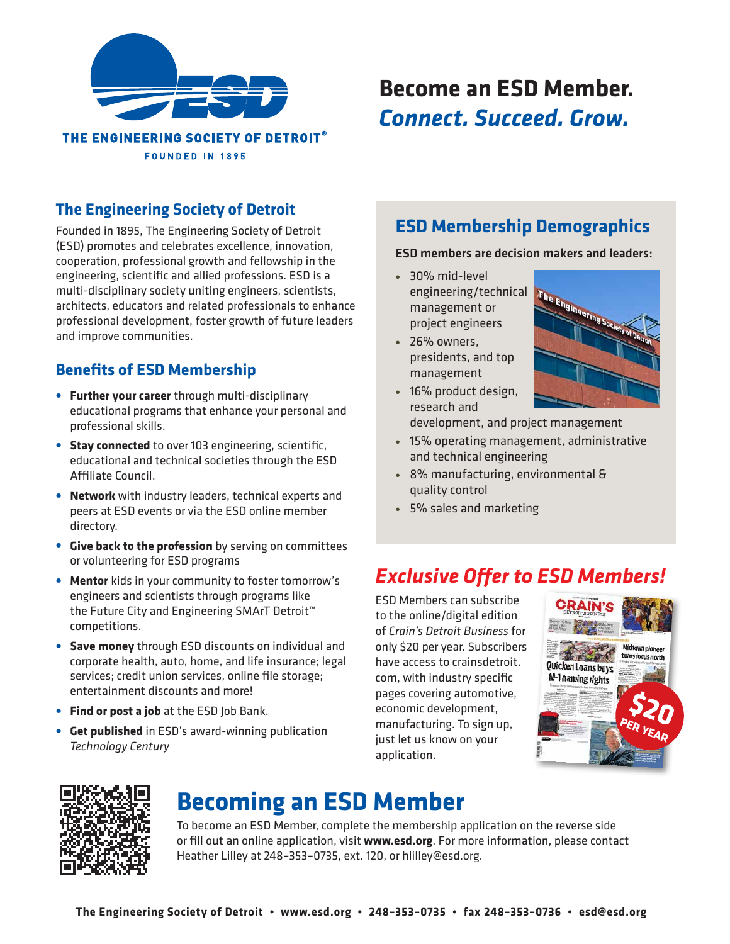

# **Become an ESD Member.** *Connect. Succeed. Grow.*

## **The Engineering Society of Detroit**

Founded in 1895, The Engineering Society of Detroit (ESD) promotes and celebrates excellence, innovation, cooperation, professional growth and fellowship in the engineering, scientific and allied professions. ESD is a multi-disciplinary society uniting engineers, scientists, architects, educators and related professionals to enhance professional development, foster growth of future leaders and improve communities.

### **Benefits of ESD Membership**

- **• Further your career** through multi-disciplinary educational programs that enhance your personal and professional skills.
- **• Stay connected** to over 103 engineering, scientific, educational and technical societies through the ESD Affiliate Council.
- **• Network** with industry leaders, technical experts and peers at ESD events or via the ESD online member directory.
- **• Give back to the profession** by serving on committees or volunteering for ESD programs
- **• Mentor** kids in your community to foster tomorrow's engineers and scientists through programs like the Future City and Engineering SMArT Detroit™ competitions.
- **• Save money** through ESD discounts on individual and corporate health, auto, home, and life insurance; legal services; credit union services, online file storage; entertainment discounts and more!
- **• Find or post a job** at the ESD Job Bank.
- **• Get published** in ESD's award-winning publication *Technology Century*

## **ESD Membership Demographics**

ESD members are decision makers and leaders:

- **•** 30% mid-level engineering/technical management or project engineers
- **•** 26% owners, presidents, and top management

**•** 16% product design,



- research and development, and project management
- **•** 15% operating management, administrative and technical engineering
- **•** 8% manufacturing, environmental & quality control
- **•** 5% sales and marketing

# *Exclusive Offer to ESD Members!*

ESD Members can subscribe to the online/digital edition of *Crain's Detroit Business* for only \$20 per year. Subscribers have access to crainsdetroit. com, with industry specific pages covering automotive, economic development, manufacturing. To sign up, just let us know on your application.





# **Becoming an ESD Member**

To become an ESD Member, complete the membership application on the reverse side or fill out an online application, visit **www.esd.org**. For more information, please contact Heather Lilley at 248–353–0735, ext. 120, or hlilley@esd.org.